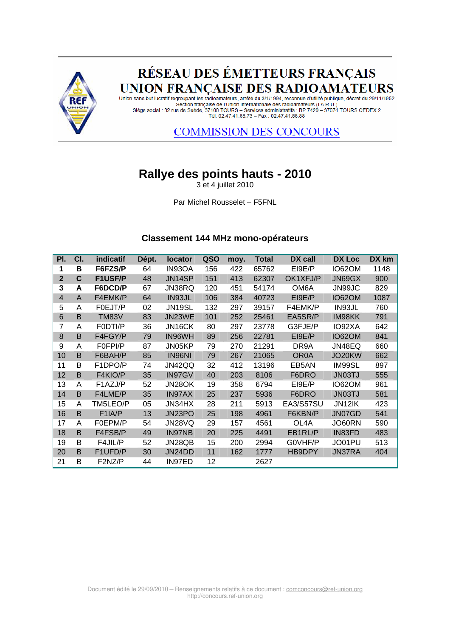

# RÉSEAU DES ÉMETTEURS FRANÇAIS UNION FRANÇAISE DES RADIOAMATEURS

و Union sans but lucratif regroupant les radioamateurs, arrêté du 3/1/1994, reconnue d'utilité publique, décret du 29/11/1952 Section française de l'Union internationale des radioamateurs (I.A.R.U.) Siège social : 32 rue de Suède, 37100 TOURS – Services administratifs : BP 7429 – 37074 TOURS CEDEX 2<br>Tél. 02.47.41.88.73 – Fax : 02.47.41.88.88

## **COMMISSION DES CONCOURS**

## **Rallye des points hauts - 2010**

3 et 4 juillet 2010

Par Michel Rousselet – F5FNL

#### **Classement 144 MHz mono-opérateurs**

| PI.                     | CI. | indicatif           | Dépt. | <b>locator</b> | QSO | moy. | <b>Total</b> | <b>DX</b> call    | DX Loc        | DX km |
|-------------------------|-----|---------------------|-------|----------------|-----|------|--------------|-------------------|---------------|-------|
| 1                       | в   | F6FZS/P             | 64    | IN93OA         | 156 | 422  | 65762        | EI9E/P            | <b>IO62OM</b> | 1148  |
| $\overline{\mathbf{2}}$ | C   | <b>F1USF/P</b>      | 48    | JN14SP         | 151 | 413  | 62307        | OK1XFJ/P          | JN69GX        | 900   |
| 3                       | A   | F6DCD/P             | 67    | JN38RQ         | 120 | 451  | 54174        | OM <sub>6</sub> A | JN99JC        | 829   |
| $\overline{4}$          | A   | F4EMK/P             | 64    | IN93JL         | 106 | 384  | 40723        | EI9E/P            | <b>IO62OM</b> | 1087  |
| 5                       | A   | F0EJT/P             | 02    | <b>JN19SL</b>  | 132 | 297  | 39157        | F4EMK/P           | IN93JL        | 760   |
| 6                       | B   | <b>TM83V</b>        | 83    | JN23WE         | 101 | 252  | 25461        | EA5SR/P           | IM98KK        | 791   |
| 7                       | A   | F0DTI/P             | 36    | JN16CK         | 80  | 297  | 23778        | G3FJE/P           | IO92XA        | 642   |
| 8                       | B   | F4FGY/P             | 79    | IN96WH         | 89  | 256  | 22781        | EI9E/P            | <b>IO62OM</b> | 841   |
| 9                       | A   | F0FPI/P             | 87    | JN05KP         | 79  | 270  | 21291        | DR9A              | JN48EQ        | 660   |
| 10                      | B   | F6BAH/P             | 85    | IN96NI         | 79  | 267  | 21065        | OR <sub>0</sub> A | JO20KW        | 662   |
| 11                      | B   | F1DPO/P             | 74    | JN42QQ         | 32  | 412  | 13196        | EB5AN             | IM99SL        | 897   |
| 12                      | B   | F4KIO/P             | 35    | IN97GV         | 40  | 203  | 8106         | F6DRO             | <b>JN03TJ</b> | 555   |
| 13                      | A   | F1AZJ/P             | 52    | JN28OK         | 19  | 358  | 6794         | EI9E/P            | <b>IO62OM</b> | 961   |
| 14                      | B   | F4LME/P             | 35    | IN97AX         | 25  | 237  | 5936         | F6DRO             | <b>JN03TJ</b> | 581   |
| 15                      | A   | TM5LEO/P            | 05    | JN34HX         | 28  | 211  | 5913         | EA3/S57SU         | JN12IK        | 423   |
| 16                      | B   | F <sub>1</sub> IA/P | 13    | JN23PO         | 25  | 198  | 4961         | F6KBN/P           | JN07GD        | 541   |
| 17                      | A   | F0EPM/P             | 54    | JN28VQ         | 29  | 157  | 4561         | OL4A              | JO60RN        | 590   |
| 18                      | B   | F4FSB/P             | 49    | IN97NB         | 20  | 225  | 4491         | EB1RL/P           | IN83FD        | 483   |
| 19                      | B   | F4JIL/P             | 52    | JN28QB         | 15  | 200  | 2994         | G0VHF/P           | JO01PU        | 513   |
| 20                      | B   | F1UFD/P             | 30    | JN24DD         | 11  | 162  | 1777         | HB9DPY            | JN37RA        | 404   |
| 21                      | B   | F2NZ/P              | 44    | IN97ED         | 12  |      | 2627         |                   |               |       |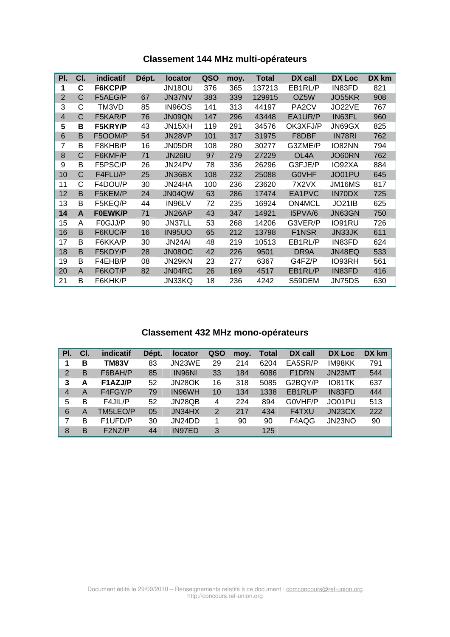| <b>Classement 144 MHz multi-opérateurs</b> |  |
|--------------------------------------------|--|
|--------------------------------------------|--|

| PI.            | CI.            | <i>indicatif</i> | Dépt. | locator       | QSO | moy. | <b>Total</b> | DX call            | DX Loc        | DX km |
|----------------|----------------|------------------|-------|---------------|-----|------|--------------|--------------------|---------------|-------|
| 1              | C              | F6KCP/P          |       | JN18OU        | 376 | 365  | 137213       | EB1RL/P            | IN83FD        | 821   |
| $\overline{2}$ | C              | F5AEG/P          | 67    | JN37NV        | 383 | 339  | 129915       | OZ5W               | JO55KR        | 908   |
| 3              | C              | TM3VD            | 85    | <b>IN96OS</b> | 141 | 313  | 44197        | PA <sub>2</sub> CV | JO22VE        | 767   |
| $\overline{4}$ | C              | F5KAR/P          | 76    | JN09QN        | 147 | 296  | 43448        | EA1UR/P            | IN63FL        | 960   |
| 5              | в              | F5KRY/P          | 43    | JN15XH        | 119 | 291  | 34576        | OK3XFJ/P           | JN69GX        | 825   |
| 6              | B              | F5OOM/P          | 54    | JN28VP        | 101 | 317  | 31975        | F8DBF              | IN78RI        | 762   |
| 7              | B              | F8KHB/P          | 16    | JN05DR        | 108 | 280  | 30277        | G3ZME/P            | IO82NN        | 794   |
| 8              | C              | F6KMF/P          | 71    | <b>JN26IU</b> | 97  | 279  | 27229        | OL4A               | JO60RN        | 762   |
| 9              | B              | F5PSC/P          | 26    | JN24PV        | 78  | 336  | 26296        | G3FJE/P            | IO92XA        | 884   |
| 10             | $\overline{C}$ | F4FLU/P          | 25    | JN36BX        | 108 | 232  | 25088        | <b>GOVHF</b>       | JO01PU        | 645   |
| 11             | С              | F4DOU/P          | 30    | JN24HA        | 100 | 236  | 23620        | 7X2VX              | JM16MS        | 817   |
| 12             | B              | F5KEM/P          | 24    | JN04QW        | 63  | 286  | 17474        | EA1PVC             | IN70DX        | 725   |
| 13             | B              | F5KEQ/P          | 44    | IN96LV        | 72  | 235  | 16924        | ON4MCL             | <b>JO21IB</b> | 625   |
| 14             | A              | <b>F0EWK/P</b>   | 71    | JN26AP        | 43  | 347  | 14921        | I5PVA/6            | JN63GN        | 750   |
| 15             | A              | F0GJJ/P          | 90    | JN37LL        | 53  | 268  | 14206        | G3VER/P            | IO91RU        | 726   |
| 16             | B              | F6KUC/P          | 16    | <b>IN95UO</b> | 65  | 212  | 13798        | F1NSR              | JN33JK        | 611   |
| 17             | B              | F6KKA/P          | 30    | JN24AI        | 48  | 219  | 10513        | EB1RL/P            | IN83FD        | 624   |
| 18             | B              | F5KDY/P          | 28    | JN08OC        | 42  | 226  | 9501         | DR9A               | JN48EQ        | 533   |
| 19             | B              | F4EHB/P          | 08    | JN29KN        | 23  | 277  | 6367         | G4FZ/P             | IO93RH        | 561   |
| 20             | A              | F6KOT/P          | 82    | JN04RC        | 26  | 169  | 4517         | EB1RL/P            | IN83FD        | 416   |
| 21             | B              | F6KHK/P          |       | JN33KQ        | 18  | 236  | 4242         | S59DEM             | JN75DS        | 630   |

## **Classement 432 MHz mono-opérateurs**

| PI.            | CI. | indicatif    | Dépt. | <b>locator</b> | QSO            | moy. | <b>Total</b> | DX call            | DX Loc | DX km |
|----------------|-----|--------------|-------|----------------|----------------|------|--------------|--------------------|--------|-------|
| 1              | B   | <b>TM83V</b> | 83    | JN23WE         | 29             | 214  | 6204         | EA5SR/P            | IM98KK | 791   |
| 2              | B   | F6BAH/P      | 85    | <b>IN96NI</b>  | 33             | 184  | 6086         | F <sub>1</sub> DRN | JN23MT | 544   |
| 3              | A   | F1AZJ/P      | 52    | JN28OK         | 16             | 318  | 5085         | G2BQY/P            | IO81TK | 637   |
| 4              | A   | F4FGY/P      | 79    | IN96WH         | 10             | 134  | 1338         | EB1RL/P            | IN83FD | 444   |
| 5              | B   | F4JIL/P      | 52    | JN28QB         | 4              | 224  | 894          | GOVHF/P            | JO01PU | 513   |
| 6              | A   | TM5LEO/P     | 05    | JN34HX         | $\overline{2}$ | 217  | 434          | F4TXU              | JN23CX | 222   |
| $\overline{7}$ | B   | F1UFD/P      | 30    | JN24DD         | 1              | 90   | 90           | F4AQG              | JN23NO | 90    |
| 8              | B   | F2NZ/P       | 44    | IN97ED         | 3              |      | 125          |                    |        |       |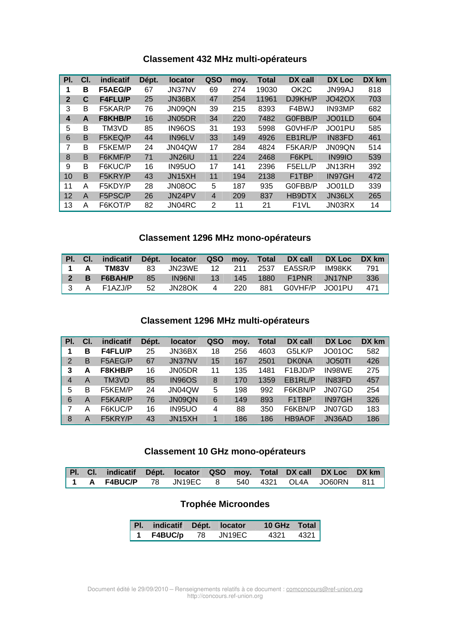## **Classement 432 MHz multi-opérateurs**

| PI.            | CI. | indicatif      | Dépt. | <b>locator</b>      | QSO            | moy. | <b>Total</b> | DX call                        | DX Loc        | DX km |
|----------------|-----|----------------|-------|---------------------|----------------|------|--------------|--------------------------------|---------------|-------|
| 1              | в   | <b>F5AEG/P</b> | 67    | JN37NV              | 69             | 274  | 19030        | OK <sub>2</sub> C              | JN99AJ        | 818   |
| $\overline{2}$ | C   | <b>F4FLU/P</b> | 25    | JN36BX              | 47             | 254  | 11961        | DJ9KH/P                        | <b>JO42OX</b> | 703   |
| 3              | В   | F5KAR/P        | 76    | JN09QN              | 39             | 215  | 8393         | F4BWJ                          | IN93MP        | 682   |
| 4              | A   | F8KHB/P        | 16    | JN05DR              | 34             | 220  | 7482         | G0FBB/P                        | JO01LD        | 604   |
| 5              | B   | TM3VD          | 85    | <b>IN96OS</b>       | 31             | 193  | 5998         | G0VHF/P                        | JO01PU        | 585   |
| 6              | B   | F5KEQ/P        | 44    | IN96LV              | 33             | 149  | 4926         | EB1RL/P                        | IN83FD        | 461   |
| 7              | B   | F5KEM/P        | 24    | JN04QW              | 17             | 284  | 4824         | F5KAR/P                        | JN09QN        | 514   |
| 8              | B   | F6KMF/P        | 71    | JN <sub>26</sub> IU | 11             | 224  | 2468         | F6KPL                          | <b>IN99IO</b> | 539   |
| 9              | B   | F6KUC/P        | 16    | IN95UO              | 17             | 141  | 2396         | F5ELL/P                        | JN13RH        | 392   |
| 10             | B   | F5KRY/P        | 43    | JN15XH              | 11             | 194  | 2138         | F <sub>1</sub> T <sub>BP</sub> | IN97GH        | 472   |
| 11             | Α   | F5KDY/P        | 28    | JN08OC              | 5              | 187  | 935          | G0FBB/P                        | JO01LD        | 339   |
| 12             | A   | F5PSC/P        | 26    | JN24PV              | $\overline{4}$ | 209  | 837          | HB9DTX                         | JN36LX        | 265   |
| 13             | A   | F6KOT/P        | 82    | JN04RC              | 2              | 11   | 21           | F <sub>1</sub> VL              | JN03RX        | 14    |

### **Classement 1296 MHz mono-opérateurs**

|  |               |       |        |  | Pl. Cl. indicatif Dépt. locator QSO moy. Total DX call DX Loc DX km |     |
|--|---------------|-------|--------|--|---------------------------------------------------------------------|-----|
|  |               |       |        |  | 1 A TM83V 83 JN23WE 12 211 2537 EA5SR/P IM98KK 791                  |     |
|  | $2$ B F6BAH/P | $-85$ | IN96NI |  | 13 145 1880 F1PNR JN17NP                                            | 336 |
|  |               |       |        |  | 3 A F1AZJ/P 52 JN28OK 4 220 881 G0VHF/P JO01PU                      | 471 |

## **Classement 1296 MHz multi-opérateurs**

| PI. | CI. | <b>indicatif</b> | Dépt. | <b>locator</b> | QSO | moy. | <b>Total</b> | DX call                           | DX Loc              | DX km |
|-----|-----|------------------|-------|----------------|-----|------|--------------|-----------------------------------|---------------------|-------|
| 1   | в   | <b>F4FLU/P</b>   | 25    | JN36BX         | 18  | 256  | 4603         | G5LK/P                            | JO01OC              | 582   |
| 2   | B   | F5AEG/P          | 67    | <b>JN37NV</b>  | 15  | 167  | 2501         | <b>DK0NA</b>                      | JO <sub>50</sub> TI | 426   |
| 3   | A   | F8KHB/P          | 16    | JN05DR         | 11  | 135  | 1481         | F <sub>1</sub> BJ <sub>D</sub> /P | IN98WE              | 275   |
| 4   | A   | TM3VD            | 85    | <b>IN96OS</b>  | 8   | 170  | 1359         | EB1RL/P                           | IN83FD              | 457   |
| 5   | в   | F5KEM/P          | 24    | JN04QW         | 5   | 198  | 992          | F6KBN/P                           | JN07GD              | 254   |
| 6   | A   | F5KAR/P          | 76    | JN09QN         | 6   | 149  | 893          | F <sub>1</sub> T <sub>BP</sub>    | IN97GH              | 326   |
|     | Α   | F6KUC/P          | 16    | IN95UO         | 4   | 88   | 350          | F6KBN/P                           | JN07GD              | 183   |
| 8   | A   | F5KRY/P          | 43    | JN15XH         |     | 186  | 186          | <b>HB9AOF</b>                     | JN36AD              | 186   |

### **Classement 10 GHz mono-opérateurs**

|  | Pl. Cl. indicatif Dépt. locator QSO moy. Total DX call DX Loc DX km |  |  |  |  |
|--|---------------------------------------------------------------------|--|--|--|--|
|  | 1 A F4BUC/P 78 JN19EC 8 540 4321 OL4A JO60RN 811                    |  |  |  |  |

## **Trophée Microondes**

| Pl. indicatif Dépt. locator |  | 10 GHz Total |  |
|-----------------------------|--|--------------|--|
| 1 F4BUC/p 78 JN19EC         |  | 4321 4321    |  |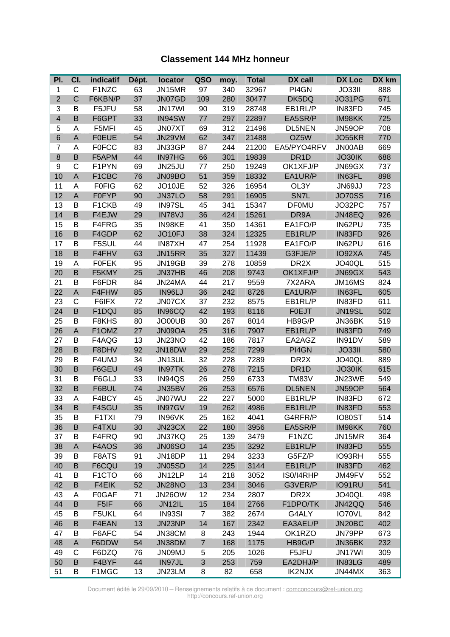#### **Classement 144 MHz honneur**

| PI.                     | CI.          | indicatif    | Dépt. | locator       | QSO            | moy. | <b>Total</b> | DX call           | <b>DX Loc</b> | DX km |
|-------------------------|--------------|--------------|-------|---------------|----------------|------|--------------|-------------------|---------------|-------|
| 1                       | C            | F1NZC        | 63    | JN15MR        | 97             | 340  | 32967        | PI4GN             | <b>JO33II</b> | 888   |
| $\overline{2}$          | $\mathsf{C}$ | F6KBN/P      | 37    | JN07GD        | 109            | 280  | 30477        | DK5DQ             | JO31PG        | 671   |
| 3                       | B            | F5JFU        | 58    | JN17WI        | 90             | 319  | 28748        | EB1RL/P           | IN83FD        | 745   |
| $\overline{\mathbf{4}}$ | B            | F6GPT        | 33    | IN94SW        | 77             | 297  | 22897        | EA5SR/P           | IM98KK        | 725   |
| 5                       | Α            | F5MFI        | 45    | JN07XT        | 69             | 312  | 21496        | <b>DL5NEN</b>     | JN59OP        | 708   |
| $\,$ 6 $\,$             | A            | <b>F0EUE</b> | 54    | JN29VM        | 62             | 347  | 21488        | OZ5W              | JO55KR        | 770   |
| 7                       | A            | <b>F0FCC</b> | 83    | JN33GP        | 87             | 244  | 21200        | EA5/PYO4RFV       | JN00AB        | 669   |
| $\bf 8$                 | B            | F5APM        | 44    | IN97HG        | 66             | 301  | 19839        | DR <sub>1</sub> D | JO30IK        | 688   |
| 9                       | C            | F1PYN        | 69    | JN25JU        | 77             | 250  | 19249        | OK1XFJ/P          | JN69GX        | 737   |
| 10                      | $\mathsf A$  | F1CBC        | 76    | JN09BO        | 51             | 359  | 18332        | EA1UR/P           | IN63FL        | 898   |
| 11                      | A            | <b>F0FIG</b> | 62    | JO10JE        | 52             | 326  | 16954        | OL3Y              | JN69JJ        | 723   |
| 12                      | $\mathsf A$  | <b>F0FYP</b> | 90    | JN37LO        | 58             | 291  | 16905        | SN7L              | <b>JO70SS</b> | 716   |
| 13                      | B            | F1CKB        | 49    | IN97SL        | 45             | 341  | 15347        | <b>DF0MU</b>      | JO32PC        | 757   |
| 14                      | B            | F4EJW        | 29    | IN78VJ        | 36             | 424  | 15261        | DR9A              | JN48EQ        | 926   |
| 15                      | B            | F4FRG        | 35    | IN98KE        | 41             | 350  | 14361        | EA1FO/P           | IN62PU        | 735   |
| 16                      | B            | F4GDP        | 62    | JO10FJ        | 38             | 324  | 12325        | EB1RL/P           | IN83FD        | 926   |
| 17                      | В            | F5SUL        | 44    | IN87XH        | 47             | 254  | 11928        | EA1FO/P           | IN62PU        | 616   |
| 18                      | B            | F4FHV        | 63    | JN15RR        | 35             | 327  | 11439        | G3FJE/P           | IO92XA        | 745   |
| 19                      | Α            | <b>FOFEK</b> | 95    | JN19GB        | 39             | 278  | 10859        | DR <sub>2</sub> X | JO40QL        | 515   |
| 20                      | B            | F5KMY        | 25    | JN37HB        | 46             | 208  | 9743         | OK1XFJ/P          | JN69GX        | 543   |
| 21                      | B            | F6FDR        | 84    | JN24MA        | 44             | 217  | 9559         | 7X2ARA            | JM16MS        | 824   |
| 22                      | A            | F4FHW        | 85    | IN96LJ        | 36             | 242  | 8726         | EA1UR/P           | IN63FL        | 605   |
| 23                      | C            | F6IFX        | 72    | JN07CX        | 37             | 232  | 8575         | EB1RL/P           | IN83FD        | 611   |
| 24                      | B            | F1DQJ        | 85    | IN96CQ        | 42             | 193  | 8116         | <b>F0EJT</b>      | JN19SL        | 502   |
| 25                      | B            | F8KHS        | 80    | JO00UB        | 30             | 267  | 8014         | HB9G/P            | JN36BK        | 519   |
| 26                      | $\mathsf A$  | F1OMZ        | 27    | JN09OA        | 25             | 316  | 7907         | EB1RL/P           | IN83FD        | 749   |
| 27                      | B            | F4AQG        | 13    | JN23NO        | 42             | 186  | 7817         | EA2AGZ            | IN91DV        | 589   |
| 28                      | B            | F8DHV        | 92    | JN18DW        | 29             | 252  | 7299         | PI4GN             | <b>JO33II</b> | 580   |
| 29                      | B            | F4UMJ        | 34    | JN13UL        | 32             | 228  | 7289         | DR <sub>2</sub> X | JO40QL        | 889   |
| 30                      | B            | F6GEU        | 49    | IN97TK        | 26             | 278  | 7215         | DR <sub>1</sub> D | JO30IK        | 615   |
| 31                      | B            | F6GLJ        | 33    | IN94QS        | 26             | 259  | 6733         | <b>TM83V</b>      | JN23WE        | 549   |
| 32                      | B            | F6BUL        | 74    | JN35BV        | 26             | 253  | 6576         | <b>DL5NEN</b>     | JN59OP        | 564   |
| 33                      | A            | F4BCY        | 45    | JN07WU        | 22             | 227  | 5000         | EB1RL/P           | IN83FD        | 672   |
| 34                      | B            | F4SGU        | 35    | IN97GV        | 19             | 262  | 4986         | EB1RL/P           | IN83FD        | 553   |
| 35                      | B            | F1TXI        | 79    | IN96VK        | 25             | 162  | 4041         | G4RFR/P           | IO80ST        | 514   |
| 36                      | B            | F4TXU        | 30    | JN23CX        | 22             | 180  | 3956         | EA5SR/P           | IM98KK        | 760   |
| 37                      | B            | F4FRQ        | 90    | JN37KQ        | 25             | 139  | 3479         | F1NZC             | JN15MR        | 364   |
| 38                      | A            | F4AOS        | 36    | <b>JN06SO</b> | 14             | 235  | 3292         | EB1RL/P           | IN83FD        | 555   |
| 39                      | В            | F8ATS        | 91    | JN18DP        | 11             | 294  | 3233         | G5FZ/P            | IO93RH        | 555   |
| 40                      | B            | F6CQU        | 19    | JN05SD        | 14             | 225  | 3144         | EB1RL/P           | IN83FD        | 462   |
| 41                      | В            | F1CTO        | 66    | JN12LP        | 14             | 218  | 3052         | IS0/I4RHP         | JM49FV        | 552   |
| 42                      | B            | F4EIK        | 52    | JN28NO        | 13             | 234  | 3046         | G3VER/P           | IO91RU        | 541   |
| 43                      | Α            | F0GAF        | 71    | JN26OW        | 12             | 234  | 2807         | DR <sub>2</sub> X | JO40QL        | 498   |
| 44                      | B            | F5IF         | 66    | JN12IL        | 15             | 184  | 2766         | F1DPO/TK          | <b>JN42QQ</b> | 546   |
| 45                      | В            | F5UKL        | 64    | IN93SI        | $\overline{7}$ | 382  | 2674         | G4ALY             | IO70VL        | 842   |
| 46                      | B            | F4EAN        | 13    | JN23NP        | 14             | 167  | 2342         | EA3AEL/P          | JN20BC        | 402   |
| 47                      | B            | F6AFC        | 54    | JN38CM        | 8              | 243  | 1944         | OK1RZO            | JN79PP        | 673   |
| 48                      | A            | F6DDW        | 54    | JN38DM        | $\overline{7}$ | 168  | 1175         | HB9G/P            | JN36BK        | 232   |
| 49                      | C            | F6DZQ        | 76    | <b>JN09MJ</b> | 5              | 205  | 1026         | F5JFU             | JN17WI        | 309   |
| 50                      | B            | F4BYF        | 44    | IN97JL        | 3              | 253  | 759          | EA2DHJ/P          | IN83LG        | 489   |
| 51                      | B            | F1MGC        | 13    | JN23LM        | 8              | 82   | 658          | <b>IK2NJX</b>     | JN44MX        | 363   |

Document édité le 29/09/2010 – Renseignements relatifs à ce document : comconcours@ref-union.org http://concours.ref-union.org